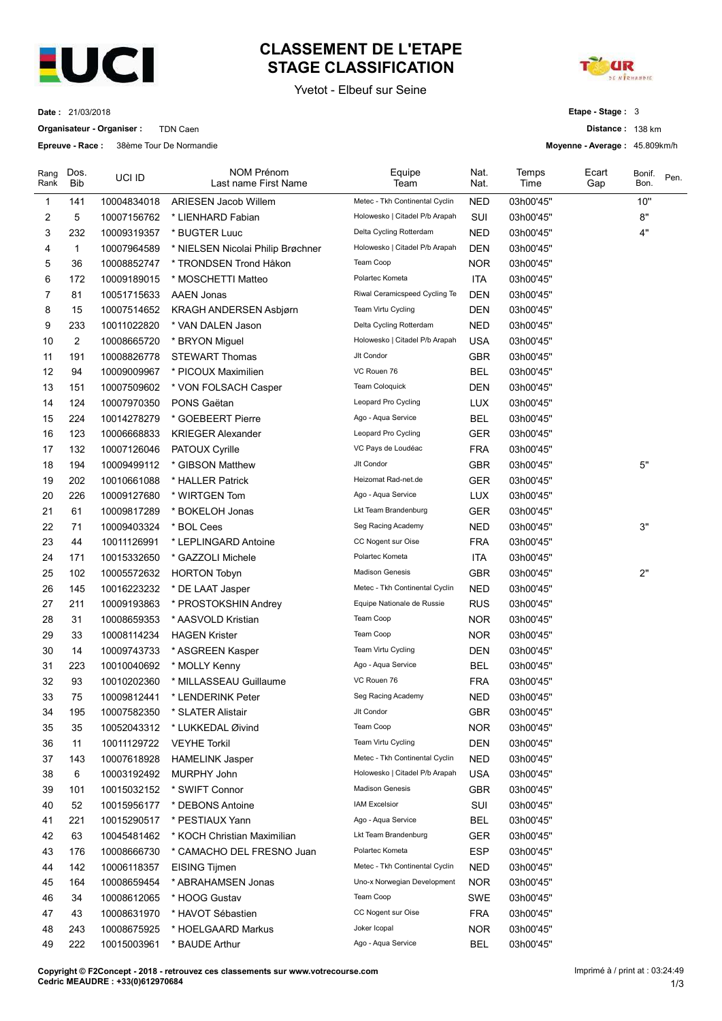

## CLASSEMENT DE L'ETAPE<br>
STAGE CLASSIFICATION<br>
Yvetot - Elbeuf sur Seine<br>
Etape - Stage : 3<br>
Distance : 138 km CLASSEMENT DE L'ETAPE<br>
STAGE CLASSIFICATION<br>
Yvetot - Elbeuf sur Seine<br>
Etape - Stage : 3<br>
Distance : 138 km<br>
Movenne - Average : 45.809km/h



|                      |                  | <b>EUCI</b>                                                           |                                                    | Yvetot - Elbeuf sur Seine                                 |                          |                        |                                                   | <b>DE NIEHANDIE</b> |                                 |
|----------------------|------------------|-----------------------------------------------------------------------|----------------------------------------------------|-----------------------------------------------------------|--------------------------|------------------------|---------------------------------------------------|---------------------|---------------------------------|
|                      | Date: 21/03/2018 |                                                                       |                                                    |                                                           |                          |                        | Etape - Stage: 3                                  |                     |                                 |
|                      |                  | Organisateur - Organiser :<br>Epreuve - Race: 38ème Tour De Normandie | <b>TDN Caen</b>                                    |                                                           |                          |                        | Distance: 138 km<br>Moyenne - Average: 45.809km/h |                     |                                 |
|                      |                  |                                                                       |                                                    |                                                           |                          |                        |                                                   |                     |                                 |
| Rank                 | Rang Dos.<br>Bib | UCI ID                                                                | <b>NOM Prénom</b><br>Last name First Name          | Equipe<br>Team                                            | Nat.<br>Nat.             | Temps<br>Time          | Ecart<br>Gap                                      | Bonif.<br>Bon.      | Pen.                            |
| -1                   | 141              | 10004834018                                                           | <b>ARIESEN Jacob Willem</b>                        | Metec - Tkh Continental Cyclin                            | <b>NED</b>               | 03h00'45"              |                                                   | 10"                 |                                 |
| $\overline{2}$<br>-3 | 5<br>232         | 10007156762<br>10009319357                                            | * LIENHARD Fabian<br>* BUGTER Luuc                 | Holowesko   Citadel P/b Arapah<br>Delta Cycling Rotterdam | SUI<br><b>NED</b>        | 03h00'45"<br>03h00'45" |                                                   | 8"<br>4"            |                                 |
| 4                    |                  | 10007964589                                                           | * NIELSEN Nicolai Philip Brøchner                  | Holowesko   Citadel P/b Arapah                            | <b>DEN</b>               | 03h00'45"              |                                                   |                     |                                 |
| 5                    | 36               | 10008852747                                                           | * TRONDSEN Trond Håkon                             | Team Coop                                                 | <b>NOR</b>               | 03h00'45"              |                                                   |                     |                                 |
| 6<br>-7              | 172              | 10009189015                                                           | * MOSCHETTI Matteo                                 | Polartec Kometa<br>Riwal Ceramicspeed Cycling Te          | <b>ITA</b>               | 03h00'45"              |                                                   |                     |                                 |
| 8                    | 81<br>15         | 10051715633<br>10007514652                                            | <b>AAEN Jonas</b><br><b>KRAGH ANDERSEN Asbjørn</b> | Team Virtu Cycling                                        | <b>DEN</b><br><b>DEN</b> | 03h00'45"<br>03h00'45" |                                                   |                     |                                 |
| 9                    | 233              | 10011022820                                                           | * VAN DALEN Jason                                  | Delta Cycling Rotterdam                                   | <b>NED</b>               | 03h00'45"              |                                                   |                     |                                 |
| 10                   | $\overline{2}$   | 10008665720                                                           | * BRYON Miguel                                     | Holowesko   Citadel P/b Arapah                            | USA                      | 03h00'45"              |                                                   |                     |                                 |
| 11<br>12             | 191<br>94        | 10008826778<br>10009009967                                            | <b>STEWART Thomas</b><br>* PICOUX Maximilien       | Jlt Condor<br>VC Rouen 76                                 | <b>GBR</b><br><b>BEL</b> | 03h00'45"<br>03h00'45" |                                                   |                     |                                 |
| 13                   | 151              | 10007509602                                                           | * VON FOLSACH Casper                               | Team Coloquick                                            | <b>DEN</b>               | 03h00'45"              |                                                   |                     |                                 |
| 14                   | 124              | 10007970350                                                           | PONS Gaëtan                                        | Leopard Pro Cycling                                       | <b>LUX</b>               | 03h00'45"              |                                                   |                     |                                 |
| 15                   | 224              | 10014278279                                                           | * GOEBEERT Pierre                                  | Ago - Aqua Service                                        | <b>BEL</b>               | 03h00'45"              |                                                   |                     |                                 |
| 16<br>17             | 123<br>132       | 10006668833<br>10007126046                                            | <b>KRIEGER Alexander</b><br>PATOUX Cyrille         | Leopard Pro Cycling<br>VC Pays de Loudéac                 | GER<br><b>FRA</b>        | 03h00'45"<br>03h00'45" |                                                   |                     |                                 |
| 18                   | 194              | 10009499112                                                           | * GIBSON Matthew                                   | Jlt Condor                                                | GBR                      | 03h00'45"              |                                                   | 5"                  |                                 |
| 19                   | 202              | 10010661088                                                           | * HALLER Patrick                                   | Heizomat Rad-net.de                                       | <b>GER</b>               | 03h00'45"              |                                                   |                     |                                 |
| 20                   | 226              | 10009127680                                                           | * WIRTGEN Tom                                      | Ago - Aqua Service<br>Lkt Team Brandenburg                | <b>LUX</b>               | 03h00'45"              |                                                   |                     |                                 |
| 21<br>22             | 61<br>71         | 10009817289<br>10009403324                                            | * BOKELOH Jonas<br>* BOL Cees                      | Seg Racing Academy                                        | <b>GER</b><br><b>NED</b> | 03h00'45"<br>03h00'45" |                                                   | 3"                  |                                 |
| 23                   | 44               | 10011126991                                                           | * LEPLINGARD Antoine                               | CC Nogent sur Oise                                        | <b>FRA</b>               | 03h00'45"              |                                                   |                     |                                 |
| 24                   | 171              | 10015332650                                                           | * GAZZOLI Michele                                  | Polartec Kometa                                           | <b>ITA</b>               | 03h00'45"              |                                                   |                     |                                 |
| 25                   | 102<br>145       | 10005572632<br>10016223232                                            | <b>HORTON Tobyn</b><br>* DE LAAT Jasper            | <b>Madison Genesis</b><br>Metec - Tkh Continental Cyclin  | GBR<br><b>NED</b>        | 03h00'45"<br>03h00'45" |                                                   | 2"                  |                                 |
| 26<br>27             | 211              | 10009193863                                                           | * PROSTOKSHIN Andrey                               | Equipe Nationale de Russie                                | <b>RUS</b>               | 03h00'45"              |                                                   |                     |                                 |
| 28                   | 31               | 10008659353                                                           | * AASVOLD Kristian                                 | Team Coop                                                 | <b>NOR</b>               | 03h00'45"              |                                                   |                     |                                 |
| 29                   | 33               | 10008114234                                                           | <b>HAGEN Krister</b>                               | Team Coop                                                 | <b>NOR</b>               | 03h00'45"              |                                                   |                     |                                 |
| 30                   | 14<br>223        | 10009743733<br>10010040692                                            | * ASGREEN Kasper<br>* MOLLY Kenny                  | Team Virtu Cycling<br>Ago - Aqua Service                  | DEN<br><b>BEL</b>        | 03h00'45"<br>03h00'45" |                                                   |                     |                                 |
| 31<br>32             | 93               | 10010202360                                                           | * MILLASSEAU Guillaume                             | VC Rouen 76                                               | <b>FRA</b>               | 03h00'45"              |                                                   |                     |                                 |
| 33                   | 75               | 10009812441                                                           | * LENDERINK Peter                                  | Seg Racing Academy                                        | <b>NED</b>               | 03h00'45"              |                                                   |                     |                                 |
| 34                   | 195              | 10007582350                                                           | * SLATER Alistair                                  | Jlt Condor                                                | GBR                      | 03h00'45"              |                                                   |                     |                                 |
| 35                   | 35               | 10052043312                                                           | * LUKKEDAL Øivind                                  | Team Coop                                                 | <b>NOR</b>               | 03h00'45"              |                                                   |                     |                                 |
| 36<br>37             | -11<br>143       | 10011129722<br>10007618928                                            | <b>VEYHE Torkil</b><br><b>HAMELINK Jasper</b>      | Team Virtu Cycling<br>Metec - Tkh Continental Cyclin      | <b>DEN</b><br><b>NED</b> | 03h00'45"<br>03h00'45" |                                                   |                     |                                 |
| 38                   | 6                | 10003192492                                                           | <b>MURPHY John</b>                                 | Holowesko   Citadel P/b Arapah                            | USA                      | 03h00'45"              |                                                   |                     |                                 |
| 39                   | 101              | 10015032152                                                           | * SWIFT Connor                                     | <b>Madison Genesis</b>                                    | GBR                      | 03h00'45"              |                                                   |                     |                                 |
| 40                   | 52               | 10015956177                                                           | * DEBONS Antoine                                   | <b>IAM Excelsior</b>                                      | SUI                      | 03h00'45"              |                                                   |                     |                                 |
| 41<br>42             | 221<br>63        | 10015290517<br>10045481462                                            | * PESTIAUX Yann<br>* KOCH Christian Maximilian     | Ago - Aqua Service<br>Lkt Team Brandenburg                | <b>BEL</b><br>GER        | 03h00'45"<br>03h00'45" |                                                   |                     |                                 |
| 43                   | 176              | 10008666730                                                           | * CAMACHO DEL FRESNO Juan                          | Polartec Kometa                                           | <b>ESP</b>               | 03h00'45"              |                                                   |                     |                                 |
| 44                   | 142              | 10006118357                                                           | EISING Tijmen                                      | Metec - Tkh Continental Cyclin                            | <b>NED</b>               | 03h00'45"              |                                                   |                     |                                 |
| 45                   | 164              | 10008659454                                                           | * ABRAHAMSEN Jonas                                 | Uno-x Norwegian Development                               | <b>NOR</b>               | 03h00'45"              |                                                   |                     |                                 |
| 46                   | 34<br>43         | 10008612065<br>10008631970                                            | * HOOG Gustav<br>* HAVOT Sébastien                 | Team Coop<br>CC Nogent sur Oise                           | SWE<br>FRA               | 03h00'45"<br>03h00'45" |                                                   |                     |                                 |
| 47<br>48             | 243              | 10008675925                                                           | * HOELGAARD Markus                                 | Joker Icopal                                              | <b>NOR</b>               | 03h00'45"              |                                                   |                     |                                 |
| 49                   | 222              | 10015003961                                                           | * BAUDE Arthur                                     | Ago - Aqua Service                                        | <b>BEL</b>               | 03h00'45"              |                                                   |                     |                                 |
|                      |                  |                                                                       |                                                    |                                                           |                          |                        |                                                   |                     | Imprimé à / print at : 03:24:49 |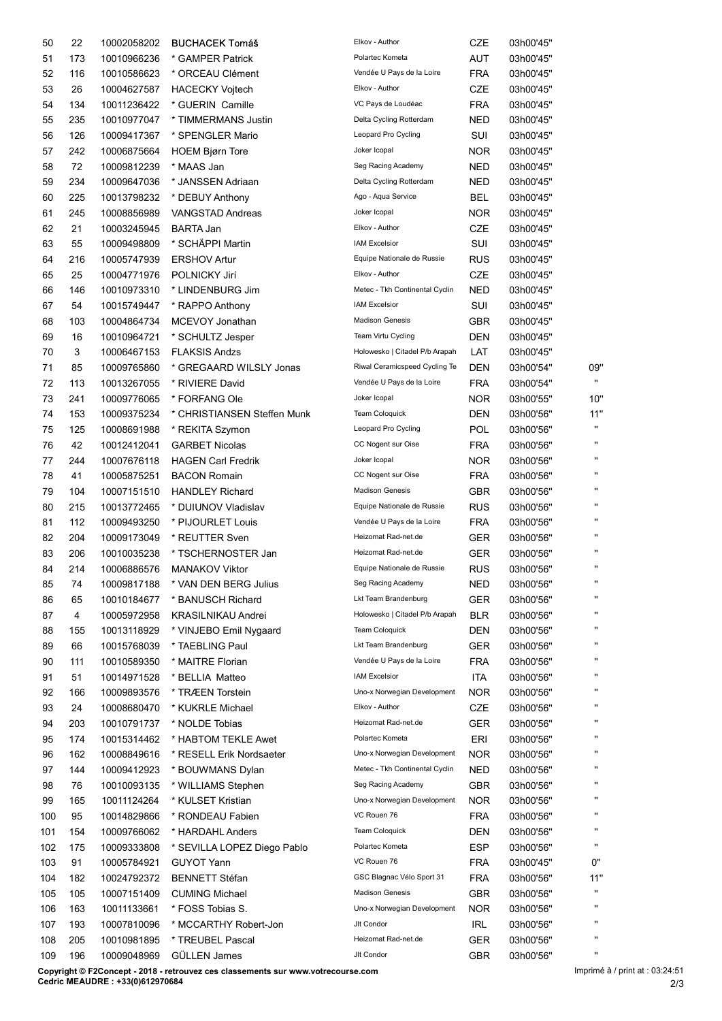| 108<br>109 | 205<br>196 | 10009048969                | GÜLLEN James<br>Copyright © F2Concept - 2018 - retrouvez ces classements sur www.votrecourse.com | Jlt Condor                                             | GBR                      | 03h00'56"              | $\mathbf{u}$<br>Imprimé à / print at : 03:24:51 |
|------------|------------|----------------------------|--------------------------------------------------------------------------------------------------|--------------------------------------------------------|--------------------------|------------------------|-------------------------------------------------|
|            |            |                            |                                                                                                  |                                                        |                          |                        |                                                 |
| 107        | 193        | 10007810096<br>10010981895 | * MCCARTHY Robert-Jon<br>* TREUBEL Pascal                                                        | Jlt Condor<br>Heizomat Rad-net.de                      | IRL<br>GER               | 03h00'56"<br>03h00'56" |                                                 |
| 106        | 163        | 10011133661                | * FOSS Tobias S.                                                                                 | Uno-x Norwegian Development                            | <b>NOR</b>               | 03h00'56"              |                                                 |
| 105        | 105        | 10007151409                | <b>CUMING Michael</b>                                                                            | <b>Madison Genesis</b>                                 | GBR                      | 03h00'56"              | $\mathbf{u}$                                    |
| 103<br>104 | 91<br>182  | 10005784921<br>10024792372 | <b>GUYOT Yann</b><br><b>BENNETT Stéfan</b>                                                       | VC Rouen 76<br>GSC Blagnac Vélo Sport 31               | <b>FRA</b><br><b>FRA</b> | 03h00'45"<br>03h00'56" | 0"<br>11"                                       |
| 102        | 175        | 10009333808                | * SEVILLA LOPEZ Diego Pablo                                                                      | Polartec Kometa                                        | <b>ESP</b>               | 03h00'56"              | $\mathbf{u}$                                    |
| 100<br>101 | 95<br>154  | 10009766062                | 10014829866 * RONDEAU Fabien<br>* HARDAHL Anders                                                 | VC Rouen 76<br><b>Team Coloquick</b>                   | <b>FRA</b><br><b>DEN</b> | 03h00'56"<br>03h00'56" |                                                 |
| 99         | 165        | 10011124264                | * KULSET Kristian                                                                                | Uno-x Norwegian Development                            | <b>NOR</b>               | 03h00'56"              |                                                 |
| 97<br>98   | 144<br>76  | 10009412923<br>10010093135 | * BOUWMANS Dylan<br>* WILLIAMS Stephen                                                           | Metec - Tkh Continental Cyclin<br>Seg Racing Academy   | <b>NED</b><br><b>GBR</b> | 03h00'56"<br>03h00'56" |                                                 |
| 96         | 162        | 10008849616                | * RESELL Erik Nordsaeter                                                                         | Uno-x Norwegian Development                            | <b>NOR</b>               | 03h00'56"              |                                                 |
| 94<br>95   | 203<br>174 | 10010791737<br>10015314462 | * NOLDE Tobias<br>* HABTOM TEKLE Awet                                                            | Polartec Kometa                                        | <b>GER</b><br>ERI        | 03h00'56"<br>03h00'56" |                                                 |
| 93         | 24         | 10008680470                | * KUKRLE Michael                                                                                 | Elkov - Author<br>Heizomat Rad-net.de                  | CZE                      | 03h00'56"              | $\mathbf{u}$                                    |
| 92         | 166        | 10009893576                | * TRÆEN Torstein                                                                                 | Uno-x Norwegian Development                            | <b>NOR</b>               | 03h00'56"              |                                                 |
| 90<br>91   | 111<br>51  | 10010589350<br>10014971528 | * MAITRE Florian<br>* BELLIA Matteo                                                              | Vendée U Pays de la Loire<br><b>IAM Excelsior</b>      | <b>FRA</b><br>ITA        | 03h00'56"<br>03h00'56" |                                                 |
| 89         | 66         | 10015768039                | * TAEBLING Paul                                                                                  | Lkt Team Brandenburg                                   | <b>GER</b>               | 03h00'56"              |                                                 |
| 87<br>88   | 155        | 10013118929                | * VINJEBO Emil Nygaard                                                                           | Team Coloquick                                         | <b>DEN</b>               | 03h00'56"              |                                                 |
| 86         | 65<br>4    | 10010184677<br>10005972958 | * BANUSCH Richard<br><b>KRASILNIKAU Andrei</b>                                                   | Lkt Team Brandenburg<br>Holowesko   Citadel P/b Arapah | <b>GER</b><br><b>BLR</b> | 03h00'56"<br>03h00'56" |                                                 |
| 85         | 74         | 10009817188                | * VAN DEN BERG Julius                                                                            | Seg Racing Academy                                     | <b>NED</b>               | 03h00'56"              | $\mathbf{u}$                                    |
| 83<br>84   | 206<br>214 | 10010035238<br>10006886576 | * TSCHERNOSTER Jan<br><b>MANAKOV Viktor</b>                                                      | Heizomat Rad-net.de<br>Equipe Nationale de Russie      | <b>GER</b><br><b>RUS</b> | 03h00'56"<br>03h00'56" | $\mathbf{u}$                                    |
| 82         | 204        | 10009173049                | * REUTTER Sven                                                                                   | Heizomat Rad-net.de                                    | <b>GER</b>               | 03h00'56"              |                                                 |
| 80<br>81   | 215<br>112 | 10013772465<br>10009493250 | * DUIUNOV Vladislav<br>* PIJOURLET Louis                                                         | Vendée U Pays de la Loire                              | <b>RUS</b><br><b>FRA</b> | 03h00'56"<br>03h00'56" |                                                 |
| 79         | 104        | 10007151510                | <b>HANDLEY Richard</b>                                                                           | <b>Madison Genesis</b><br>Equipe Nationale de Russie   | <b>GBR</b>               | 03h00'56"              |                                                 |
| 78         | 41         | 10005875251                | <b>BACON Romain</b>                                                                              | CC Nogent sur Oise                                     | <b>FRA</b>               | 03h00'56"              |                                                 |
| 76<br>77   | 42<br>244  | 10012412041<br>10007676118 | <b>GARBET Nicolas</b><br><b>HAGEN Carl Fredrik</b>                                               | CC Nogent sur Oise<br>Joker Icopal                     | <b>FRA</b><br><b>NOR</b> | 03h00'56"<br>03h00'56" | $\mathbf{u}$                                    |
| 75         | 125        | 10008691988                | * REKITA Szymon                                                                                  | Leopard Pro Cycling                                    | POL                      | 03h00'56"              | $\mathbf{u}$                                    |
| 74         | 153        | 10009375234                | * CHRISTIANSEN Steffen Munk                                                                      | Team Coloquick                                         | <b>DEN</b>               | 03h00'56"              | 11"                                             |
| 72<br>73   | 113<br>241 | 10013267055<br>10009776065 | * RIVIERE David<br>* FORFANG Ole                                                                 | Vendée U Pays de la Loire<br>Joker Icopal              | <b>FRA</b><br><b>NOR</b> | 03h00'54"<br>03h00'55" | $\mathbf{u}$<br>10"                             |
| 71         | 85         | 10009765860                | * GREGAARD WILSLY Jonas                                                                          | Riwal Ceramicspeed Cycling Te                          | <b>DEN</b>               | 03h00'54"              | 09"                                             |
| 69<br>70   | 16<br>3    | 10010964721<br>10006467153 | * SCHULTZ Jesper<br><b>FLAKSIS Andzs</b>                                                         | Team Virtu Cycling<br>Holowesko   Citadel P/b Arapah   | <b>DEN</b><br>LAT        | 03h00'45"<br>03h00'45" |                                                 |
| 68         | 103        | 10004864734                | MCEVOY Jonathan                                                                                  | <b>Madison Genesis</b>                                 | <b>GBR</b>               | 03h00'45"              |                                                 |
| 67         | 54         | 10015749447                | * RAPPO Anthony                                                                                  | <b>IAM Excelsior</b>                                   | SUI                      | 03h00'45"              |                                                 |
| 65<br>66   | 25<br>146  | 10004771976<br>10010973310 | POLNICKY Jirí<br>* LINDENBURG Jim                                                                | Elkov - Author<br>Metec - Tkh Continental Cyclin       | CZE<br><b>NED</b>        | 03h00'45"<br>03h00'45" |                                                 |
| 64         | 216        | 10005747939                | <b>ERSHOV Artur</b>                                                                              | Equipe Nationale de Russie                             | <b>RUS</b>               | 03h00'45"              |                                                 |
| 63         | 55         | 10009498809                | * SCHÄPPI Martin                                                                                 | <b>IAM Excelsior</b>                                   | <b>SUI</b>               | 03h00'45"              |                                                 |
| 61<br>62   | 245<br>21  | 10008856989<br>10003245945 | VANGSTAD Andreas<br><b>BARTA Jan</b>                                                             | Joker Icopal<br>Elkov - Author                         | <b>NOR</b><br>CZE        | 03h00'45"<br>03h00'45" |                                                 |
| 60         | 225        | 10013798232                | * DEBUY Anthony                                                                                  | Ago - Aqua Service                                     | <b>BEL</b>               | 03h00'45"              |                                                 |
| 59         | 234        | 10009647036                | * JANSSEN Adriaan                                                                                | Delta Cycling Rotterdam                                | <b>NED</b>               | 03h00'45"              |                                                 |
| 57<br>58   | 242<br>72  | 10006875664<br>10009812239 | <b>HOEM Bjørn Tore</b><br>* MAAS Jan                                                             | Joker Icopal<br>Seg Racing Academy                     | <b>NOR</b><br><b>NED</b> | 03h00'45"<br>03h00'45" |                                                 |
| 56         | 126        | 10009417367                | * SPENGLER Mario                                                                                 | Leopard Pro Cycling                                    | SUI                      | 03h00'45"              |                                                 |
| 55         | 235        | 10010977047                | * TIMMERMANS Justin                                                                              | Delta Cycling Rotterdam                                | <b>NED</b>               | 03h00'45"              |                                                 |
| 53<br>54   | 26<br>134  | 10004627587<br>10011236422 | <b>HACECKY Vojtech</b><br>* GUERIN Camille                                                       | Elkov - Author<br>VC Pays de Loudéac                   | CZE<br><b>FRA</b>        | 03h00'45"<br>03h00'45" |                                                 |
| 52         | 116        | 10010586623                | * ORCEAU Clément                                                                                 | Vendée U Pays de la Loire                              | <b>FRA</b>               | 03h00'45"              |                                                 |
| 51         | 173        | 10010966236                | * GAMPER Patrick                                                                                 | Polartec Kometa                                        | <b>AUT</b>               | 03h00'45"              |                                                 |
| 50         | 22         | 10002058202                | <b>BUCHACEK Tomáš</b>                                                                            | Elkov - Author                                         | CZE                      | 03h00'45"              |                                                 |